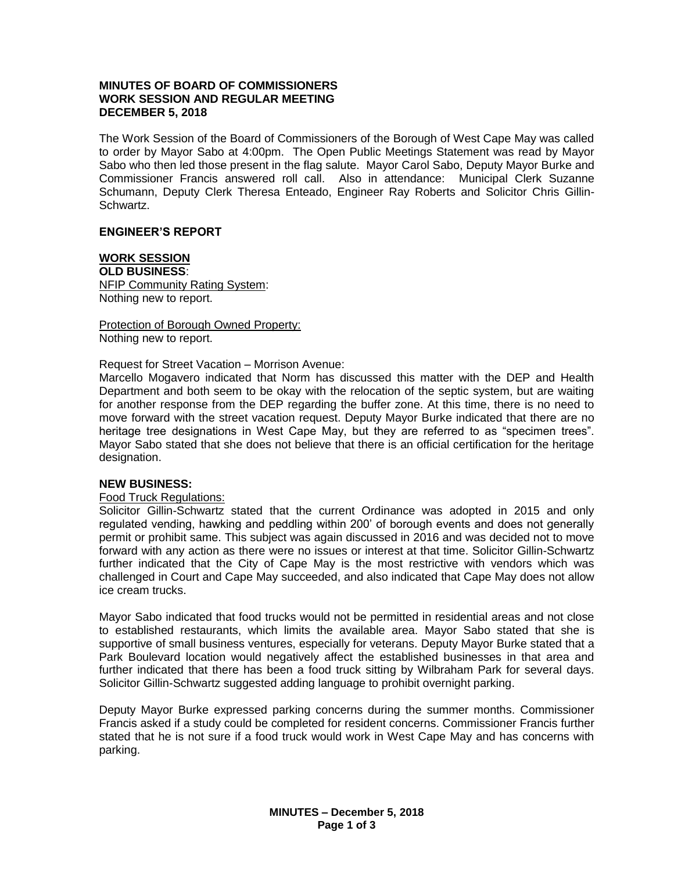# **MINUTES OF BOARD OF COMMISSIONERS WORK SESSION AND REGULAR MEETING DECEMBER 5, 2018**

The Work Session of the Board of Commissioners of the Borough of West Cape May was called to order by Mayor Sabo at 4:00pm. The Open Public Meetings Statement was read by Mayor Sabo who then led those present in the flag salute. Mayor Carol Sabo, Deputy Mayor Burke and Commissioner Francis answered roll call. Also in attendance: Municipal Clerk Suzanne Schumann, Deputy Clerk Theresa Enteado, Engineer Ray Roberts and Solicitor Chris Gillin-Schwartz.

# **ENGINEER'S REPORT**

# **WORK SESSION**

**OLD BUSINESS**: NFIP Community Rating System: Nothing new to report.

Protection of Borough Owned Property: Nothing new to report.

Request for Street Vacation – Morrison Avenue:

Marcello Mogavero indicated that Norm has discussed this matter with the DEP and Health Department and both seem to be okay with the relocation of the septic system, but are waiting for another response from the DEP regarding the buffer zone. At this time, there is no need to move forward with the street vacation request. Deputy Mayor Burke indicated that there are no heritage tree designations in West Cape May, but they are referred to as "specimen trees". Mayor Sabo stated that she does not believe that there is an official certification for the heritage designation.

### **NEW BUSINESS:**

### Food Truck Regulations:

Solicitor Gillin-Schwartz stated that the current Ordinance was adopted in 2015 and only regulated vending, hawking and peddling within 200' of borough events and does not generally permit or prohibit same. This subject was again discussed in 2016 and was decided not to move forward with any action as there were no issues or interest at that time. Solicitor Gillin-Schwartz further indicated that the City of Cape May is the most restrictive with vendors which was challenged in Court and Cape May succeeded, and also indicated that Cape May does not allow ice cream trucks.

Mayor Sabo indicated that food trucks would not be permitted in residential areas and not close to established restaurants, which limits the available area. Mayor Sabo stated that she is supportive of small business ventures, especially for veterans. Deputy Mayor Burke stated that a Park Boulevard location would negatively affect the established businesses in that area and further indicated that there has been a food truck sitting by Wilbraham Park for several days. Solicitor Gillin-Schwartz suggested adding language to prohibit overnight parking.

Deputy Mayor Burke expressed parking concerns during the summer months. Commissioner Francis asked if a study could be completed for resident concerns. Commissioner Francis further stated that he is not sure if a food truck would work in West Cape May and has concerns with parking.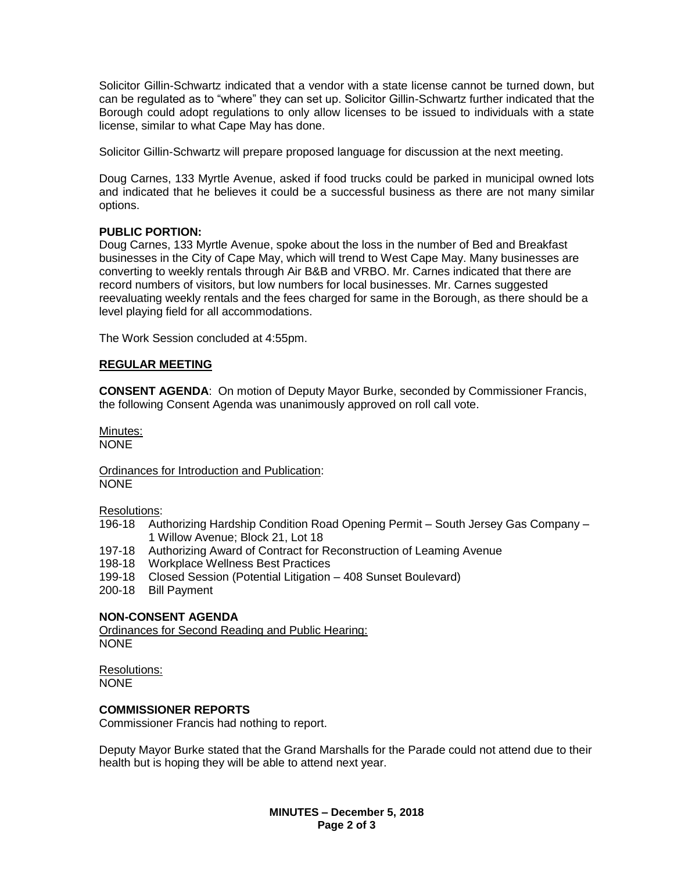Solicitor Gillin-Schwartz indicated that a vendor with a state license cannot be turned down, but can be regulated as to "where" they can set up. Solicitor Gillin-Schwartz further indicated that the Borough could adopt regulations to only allow licenses to be issued to individuals with a state license, similar to what Cape May has done.

Solicitor Gillin-Schwartz will prepare proposed language for discussion at the next meeting.

Doug Carnes, 133 Myrtle Avenue, asked if food trucks could be parked in municipal owned lots and indicated that he believes it could be a successful business as there are not many similar options.

# **PUBLIC PORTION:**

Doug Carnes, 133 Myrtle Avenue, spoke about the loss in the number of Bed and Breakfast businesses in the City of Cape May, which will trend to West Cape May. Many businesses are converting to weekly rentals through Air B&B and VRBO. Mr. Carnes indicated that there are record numbers of visitors, but low numbers for local businesses. Mr. Carnes suggested reevaluating weekly rentals and the fees charged for same in the Borough, as there should be a level playing field for all accommodations.

The Work Session concluded at 4:55pm.

# **REGULAR MEETING**

**CONSENT AGENDA**: On motion of Deputy Mayor Burke, seconded by Commissioner Francis, the following Consent Agenda was unanimously approved on roll call vote.

Minutes: NONE

Ordinances for Introduction and Publication: NONE

Resolutions:

- 196-18 Authorizing Hardship Condition Road Opening Permit South Jersey Gas Company 1 Willow Avenue; Block 21, Lot 18
- 197-18 Authorizing Award of Contract for Reconstruction of Leaming Avenue
- 198-18 Workplace Wellness Best Practices
- 199-18 Closed Session (Potential Litigation 408 Sunset Boulevard)
- 200-18 Bill Payment

# **NON-CONSENT AGENDA**

Ordinances for Second Reading and Public Hearing: NONE

Resolutions: **NONE** 

# **COMMISSIONER REPORTS**

Commissioner Francis had nothing to report.

Deputy Mayor Burke stated that the Grand Marshalls for the Parade could not attend due to their health but is hoping they will be able to attend next year.

> **MINUTES – December 5, 2018 Page 2 of 3**